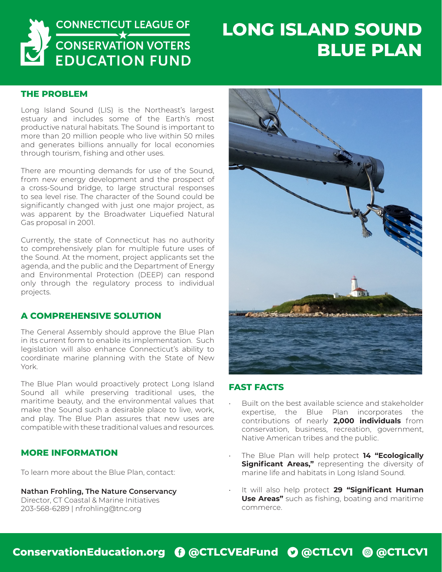

# **LONG ISLAND SOUND BLUE PLAN**

#### **THE PROBLEM**

Long Island Sound (LIS) is the Northeast's largest estuary and includes some of the Earth's most productive natural habitats. The Sound is important to more than 20 million people who live within 50 miles and generates billions annually for local economies through tourism, fishing and other uses.

There are mounting demands for use of the Sound, from new energy development and the prospect of a cross-Sound bridge, to large structural responses to sea level rise. The character of the Sound could be significantly changed with just one major project, as was apparent by the Broadwater Liquefied Natural Gas proposal in 2001.

Currently, the state of Connecticut has no authority to comprehensively plan for multiple future uses of the Sound. At the moment, project applicants set the agenda, and the public and the Department of Energy and Environmental Protection (DEEP) can respond only through the regulatory process to individual projects.

### **A COMPREHENSIVE SOLUTION**

The General Assembly should approve the Blue Plan in its current form to enable its implementation. Such legislation will also enhance Connecticut's ability to coordinate marine planning with the State of New York.

The Blue Plan would proactively protect Long Island Sound all while preserving traditional uses, the maritime beauty, and the environmental values that make the Sound such a desirable place to live, work, and play. The Blue Plan assures that new uses are compatible with these traditional values and resources.

### **MORE INFORMATION**

To learn more about the Blue Plan, contact:

**Nathan Frohling, The Nature Conservancy** Director, CT Coastal & Marine Initiatives 203-568-6289 | nfrohling@tnc.org



#### **FAST FACTS**

- Built on the best available science and stakeholder expertise, the Blue Plan incorporates the contributions of nearly **2,000 individuals** from conservation, business, recreation, government, Native American tribes and the public.
- The Blue Plan will help protect **14 "Ecologically Significant Areas,"** representing the diversity of marine life and habitats in Long Island Sound.
- It will also help protect **29 "Significant Human Use Areas"** such as fishing, boating and maritime commerce.

## **ConservationEducation.org** E **@CTLCVEdFund** D **@CTLCV1** Q **@CTLCV1**